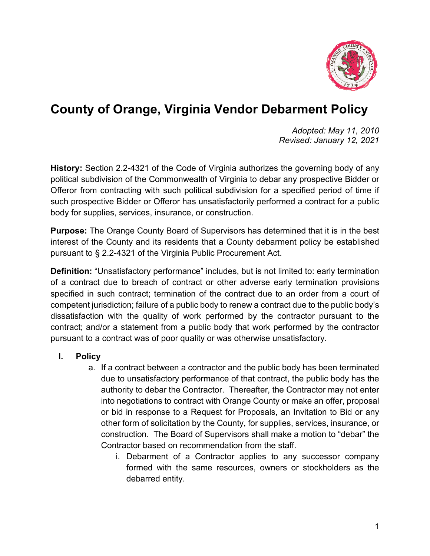

## **County of Orange, Virginia Vendor Debarment Policy**

*Adopted: May 11, 2010 Revised: January 12, 2021*

**History:** Section 2.2-4321 of the Code of Virginia authorizes the governing body of any political subdivision of the Commonwealth of Virginia to debar any prospective Bidder or Offeror from contracting with such political subdivision for a specified period of time if such prospective Bidder or Offeror has unsatisfactorily performed a contract for a public body for supplies, services, insurance, or construction.

**Purpose:** The Orange County Board of Supervisors has determined that it is in the best interest of the County and its residents that a County debarment policy be established pursuant to § 2.2-4321 of the Virginia Public Procurement Act.

**Definition:** "Unsatisfactory performance" includes, but is not limited to: early termination of a contract due to breach of contract or other adverse early termination provisions specified in such contract; termination of the contract due to an order from a court of competent jurisdiction; failure of a public body to renew a contract due to the public body's dissatisfaction with the quality of work performed by the contractor pursuant to the contract; and/or a statement from a public body that work performed by the contractor pursuant to a contract was of poor quality or was otherwise unsatisfactory.

## **I. Policy**

- a. If a contract between a contractor and the public body has been terminated due to unsatisfactory performance of that contract, the public body has the authority to debar the Contractor. Thereafter, the Contractor may not enter into negotiations to contract with Orange County or make an offer, proposal or bid in response to a Request for Proposals, an Invitation to Bid or any other form of solicitation by the County, for supplies, services, insurance, or construction. The Board of Supervisors shall make a motion to "debar" the Contractor based on recommendation from the staff.
	- i. Debarment of a Contractor applies to any successor company formed with the same resources, owners or stockholders as the debarred entity.